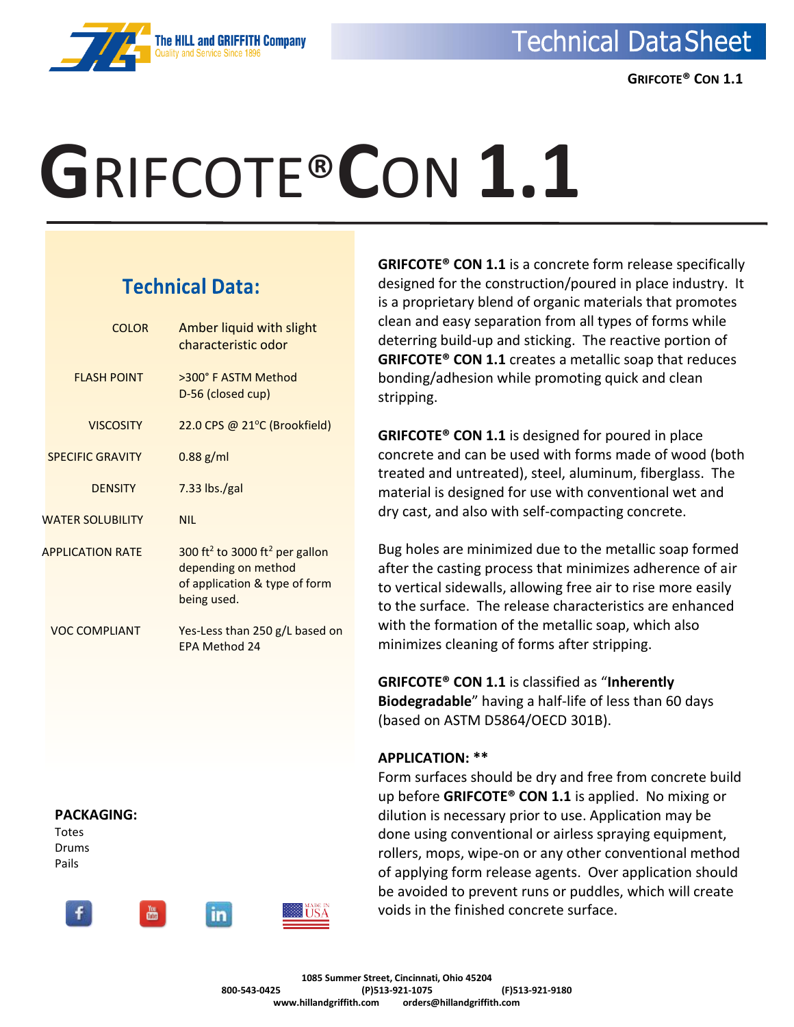

 **GRIFCOTE® CON 1.1**

# **G**RIFCOTE®**C**ON **1.1**

### **Technical Data:**

| <b>COLOR</b>            | Amber liquid with slight<br>characteristic odor                                                                               |
|-------------------------|-------------------------------------------------------------------------------------------------------------------------------|
| <b>FLASH POINT</b>      | >300° F ASTM Method<br>D-56 (closed cup)                                                                                      |
| <b>VISCOSITY</b>        | 22.0 CPS @ 21°C (Brookfield)                                                                                                  |
| <b>SPECIFIC GRAVITY</b> | $0.88$ g/ml                                                                                                                   |
| <b>DENSITY</b>          | $7.33$ lbs./gal                                                                                                               |
| <b>WATER SOLUBILITY</b> | <b>NIL</b>                                                                                                                    |
| <b>APPLICATION RATE</b> | 300 ft <sup>2</sup> to 3000 ft <sup>2</sup> per gallon<br>depending on method<br>of application & type of form<br>being used. |
| VOC COMPLIANT           | Yes-Less than 250 g/L based on<br>FPA Method 24                                                                               |

#### **PACKAGING:**

Totes Drums Pails



**GRIFCOTE® CON 1.1** is a concrete form release specifically designed for the construction/poured in place industry. It is a proprietary blend of organic materials that promotes clean and easy separation from all types of forms while deterring build-up and sticking. The reactive portion of **GRIFCOTE® CON 1.1** creates a metallic soap that reduces bonding/adhesion while promoting quick and clean stripping.

**GRIFCOTE® CON 1.1** is designed for poured in place concrete and can be used with forms made of wood (both treated and untreated), steel, aluminum, fiberglass. The material is designed for use with conventional wet and dry cast, and also with self-compacting concrete.

Bug holes are minimized due to the metallic soap formed after the casting process that minimizes adherence of air to vertical sidewalls, allowing free air to rise more easily to the surface. The release characteristics are enhanced with the formation of the metallic soap, which also minimizes cleaning of forms after stripping.

**GRIFCOTE® CON 1.1** is classified as "**Inherently Biodegradable**" having a half-life of less than 60 days (based on ASTM D5864/OECD 301B).

#### **APPLICATION: \*\***

Form surfaces should be dry and free from concrete build up before **GRIFCOTE® CON 1.1** is applied. No mixing or dilution is necessary prior to use. Application may be done using conventional or airless spraying equipment, rollers, mops, wipe-on or any other conventional method of applying form release agents. Over application should be avoided to prevent runs or puddles, which will create voids in the finished concrete surface.